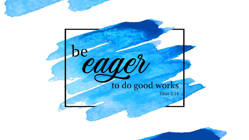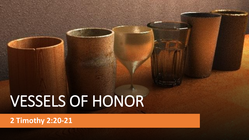**2 Timothy 2:20-21**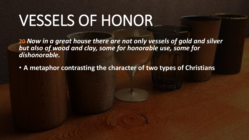**20** *Now in a great house there are not only vessels of gold and silver but also of wood and clay, some for honorable use, some for dishonorable.*

• **A metaphor contrasting the character of two types of Christians**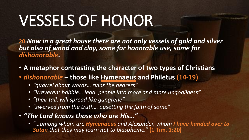**20** *Now in a great house there are not only vessels of gold and silver but also of wood and clay, some for honorable use, some for dishonorable.*

- **A metaphor contrasting the character of two types of Christians**
- *dishonorable* **– those like Hymenaeus and Philetus (14-19)**
	- *"quarrel about words… ruins the hearers"*
	- *"irreverent babble… lead people into more and more ungodliness"*
	- *"their talk will spread like gangrene"*
	- *"swerved from the truth… upsetting the faith of some"*
- *"The Lord knows those who are His…"* 
	- *"…among whom are Hymenaeus and Alexander, whom I have handed over to Satan that they may learn not to blaspheme."* **(1 Tim. 1:20)**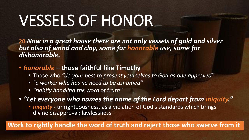**20** *Now in a great house there are not only vessels of gold and silver but also of wood and clay, some for honorable use, some for dishonorable.*

- *honorable –* **those faithful like Timothy**
	- Those who *"do your best to present yourselves to God as one approved"*
	- *"a worker who has no need to be ashamed"*
	- *"rightly handling the word of truth"*

• *"Let everyone who names the name of the Lord depart from iniquity."*

• *iniquity* - unrighteousness, as a violation of God's standards which brings divine disapproval; lawlessness

**Work to rightly handle the word of truth and reject those who swerve from it**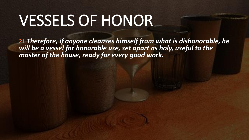**21** *Therefore, if anyone cleanses himself from what is dishonorable, he will be a vessel for honorable use, set apart as holy, useful to the master of the house, ready for every good work.*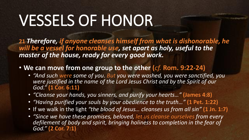**21** *Therefore, if anyone cleanses himself from what is dishonorable, he*  will be a vessel for honorable use, set apart as holy, useful to the *master of the house, ready for every good work.*

- **We can move from one group to the other (***cf.* **Rom. 9:22-24)**
	- *"And such were some of you. But you were washed, you were sanctified, you were justified in the name of the Lord Jesus Christ and by the Spirit of our God."* **(1 Cor. 6:11)**
	- *"Cleanse your hands, you sinners, and purify your hearts…"* **(James 4:8)**
	- *"Having purified your souls by your obedience to the truth…"* **(1 Pet. 1:22)**
	- If we walk in the light *"the blood of Jesus… cleanses us from all sin"* **(1 Jn. 1:7)**
	- *"Since we have these promises, beloved, let us cleanse ourselves from every*  defilement of body and spirit, bringing holiness to completion in the fear of *God."* **(2 Cor. 7:1)**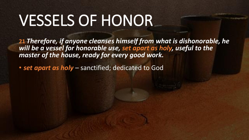**21** *Therefore, if anyone cleanses himself from what is dishonorable, he*  will be a vessel for honorable use, set apart as holy, useful to the *master of the house, ready for every good work.*

• *set apart as holy* – sanctified; dedicated to God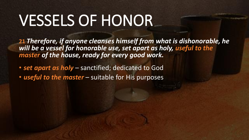**21** *Therefore, if anyone cleanses himself from what is dishonorable, he will be a vessel for honorable use, set apart as holy, useful to the master of the house, ready for every good work.*

- *set apart as holy* sanctified; dedicated to God
- *useful to the master* suitable for His purposes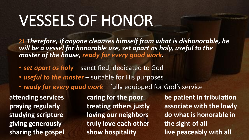**21** *Therefore, if anyone cleanses himself from what is dishonorable, he will be a vessel for honorable use, set apart as holy, useful to the master of the house, ready for every good work.*

- *set apart as holy* sanctified; dedicated to God
- *useful to the master* suitable for His purposes
- *ready for every good work* fully equipped for God's service

**attending services praying regularly studying scripture giving generously sharing the gospel** **caring for the poor treating others justly loving our neighbors truly love each other show hospitality**

**be patient in tribulation associate with the lowly do what is honorable in the sight of all live peaceably with all**